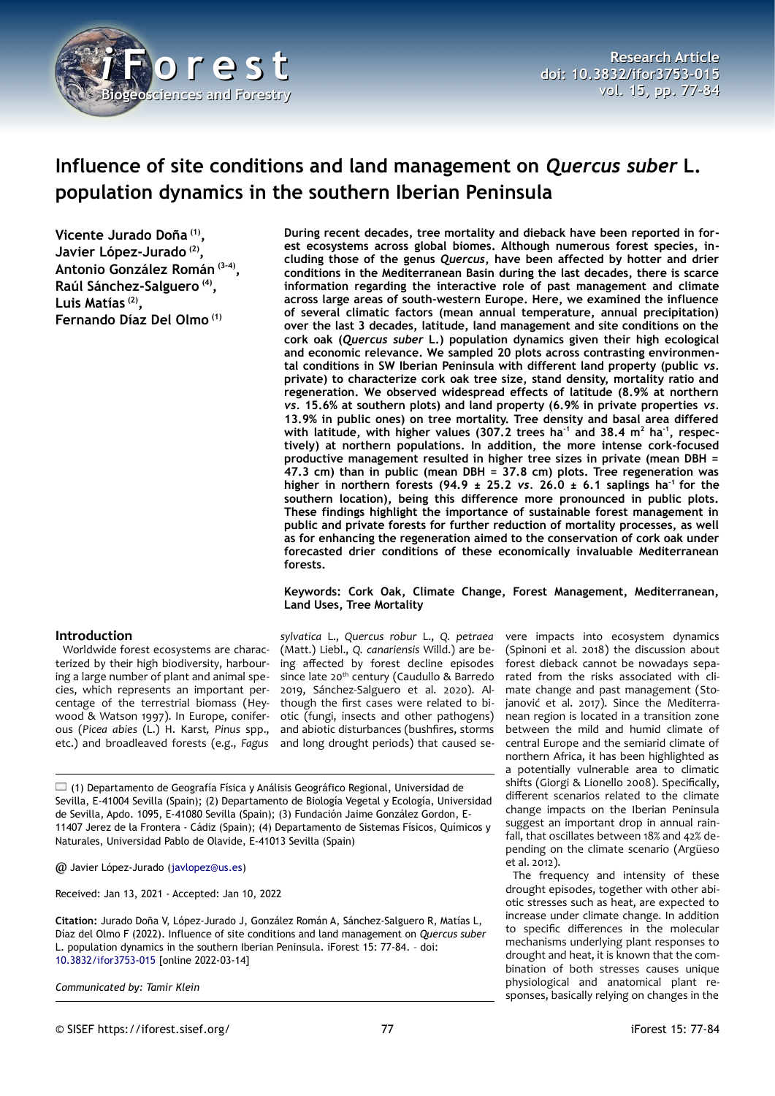

# **Influence of site conditions and land management on** *Quercus suber* **L. population dynamics in the southern Iberian Peninsula**

**Vicente Jurado Doña (1) , Javier López-Jurado (2) , Antonio González Román (3-4) , Raúl Sánchez-Salguero (4) , Luis Matías (2) , Fernando Díaz Del Olmo (1)**

## **Introduction**

Worldwide forest ecosystems are characterized by their high biodiversity, harbouring a large number of plant and animal species, which represents an important percentage of the terrestrial biomass (Heywood & Watson 1997). In Europe, coniferous (*Picea abies* (L.) H. Karst*, Pinus* spp., etc.) and broadleaved forests (e.g., *Fagus*

**During recent decades, tree mortality and dieback have been reported in forest ecosystems across global biomes. Although numerous forest species, including those of the genus** *Quercus***, have been affected by hotter and drier conditions in the Mediterranean Basin during the last decades, there is scarce information regarding the interactive role of past management and climate across large areas of south-western Europe. Here, we examined the influence of several climatic factors (mean annual temperature, annual precipitation) over the last 3 decades, latitude, land management and site conditions on the cork oak (***Quercus suber* **L.) population dynamics given their high ecological and economic relevance. We sampled 20 plots across contrasting environmental conditions in SW Iberian Peninsula with different land property (public** *vs.* **private) to characterize cork oak tree size, stand density, mortality ratio and regeneration. We observed widespread effects of latitude (8.9% at northern** *vs.* **15.6% at southern plots) and land property (6.9% in private properties** *vs.* **13.9% in public ones) on tree mortality. Tree density and basal area differed with latitude, with higher values (307.2 trees ha-1 and 38.4 m<sup>2</sup> ha-1, respectively) at northern populations. In addition, the more intense cork-focused productive management resulted in higher tree sizes in private (mean DBH = 47.3 cm) than in public (mean DBH = 37.8 cm) plots. Tree regeneration was** higher in northern forests  $(94.9 \pm 25.2 \text{ vs. } 26.0 \pm 6.1 \text{ saplings ha}^{-1}$  for the **southern location), being this difference more pronounced in public plots. These findings highlight the importance of sustainable forest management in public and private forests for further reduction of mortality processes, as well as for enhancing the regeneration aimed to the conservation of cork oak under forecasted drier conditions of these economically invaluable Mediterranean forests.**

#### **Keywords: Cork Oak, Climate Change, Forest Management, Mediterranean, Land Uses, Tree Mortality**

*sylvatica* L., *Quercus robur* L., *Q. petraea* (Matt.) Liebl., *Q. canariensis* Willd.) are being affected by forest decline episodes since late 20<sup>th</sup> century (Caudullo & Barredo 2019, Sánchez-Salguero et al. 2020). Although the first cases were related to biotic (fungi, insects and other pathogens) and abiotic disturbances (bushfires, storms and long drought periods) that caused se-

 $\Box$  (1) Departamento de Geografía Física y Análisis Geográfico Regional, Universidad de Sevilla, E-41004 Sevilla (Spain); (2) Departamento de Biología Vegetal y Ecología, Universidad de Sevilla, Apdo. 1095, E-41080 Sevilla (Spain); (3) Fundación Jaime González Gordon, E-11407 Jerez de la Frontera - Cádiz (Spain); (4) Departamento de Sistemas Físicos, Químicos y Naturales, Universidad Pablo de Olavide, E-41013 Sevilla (Spain)

@ Javier López-Jurado [\(javlopez@us.es](mailto:javlopez@us.es))

Received: Jan 13, 2021 - Accepted: Jan 10, 2022

**Citation:** Jurado Doña V, López-Jurado J, González Román A, Sánchez-Salguero R, Matías L, Díaz del Olmo F (2022). Influence of site conditions and land management on *Quercus suber* L. population dynamics in the southern Iberian Peninsula. iForest 15: 77-84. – doi[:](http://www.sisef.it/iforest/contents/?id=ifor3753-015) [10.3832/ifor3753-015](http://www.sisef.it/iforest/contents/?id=ifor3753-015) [online 2022-03-14]

*Communicated by: Tamir Klein*

vere impacts into ecosystem dynamics (Spinoni et al. 2018) the discussion about forest dieback cannot be nowadays separated from the risks associated with cli-

mate change and past management (Stojanović et al. 2017). Since the Mediterranean region is located in a transition zone between the mild and humid climate of central Europe and the semiarid climate of northern Africa, it has been highlighted as a potentially vulnerable area to climatic shifts (Giorgi & Lionello 2008). Specifically, different scenarios related to the climate change impacts on the Iberian Peninsula suggest an important drop in annual rainfall, that oscillates between 18% and 42% depending on the climate scenario (Argüeso et al. 2012).

The frequency and intensity of these drought episodes, together with other abiotic stresses such as heat, are expected to increase under climate change. In addition to specific differences in the molecular mechanisms underlying plant responses to drought and heat, it is known that the combination of both stresses causes unique physiological and anatomical plant responses, basically relying on changes in the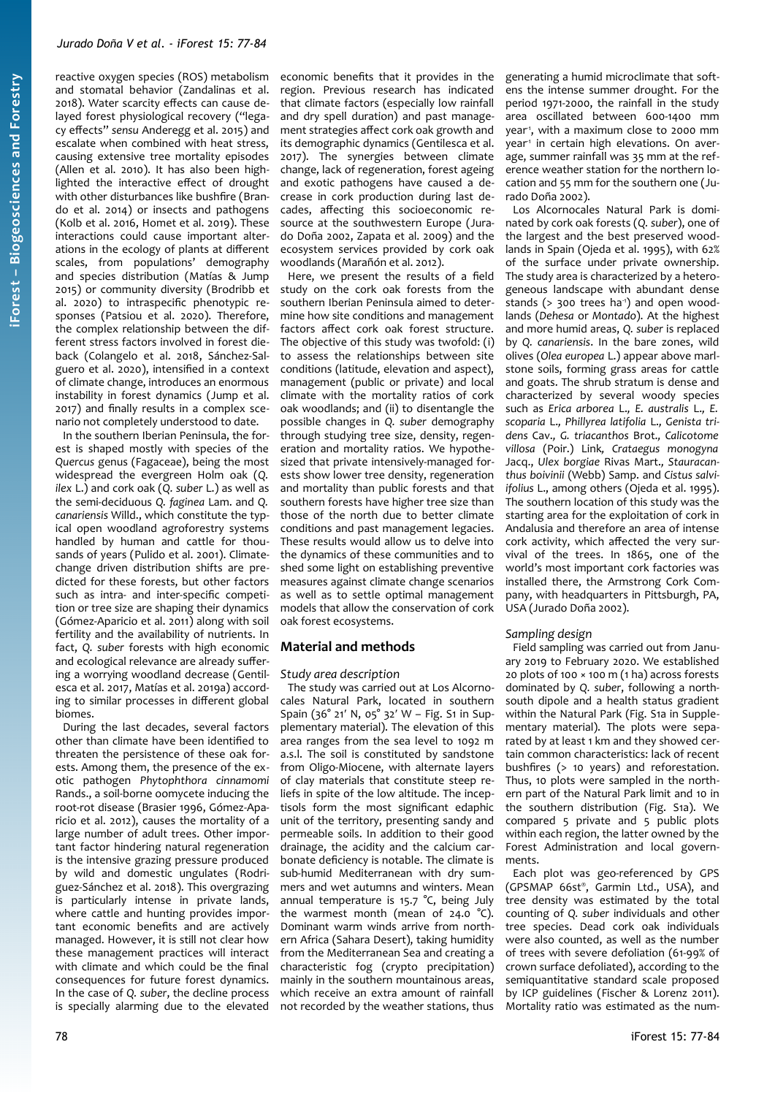reactive oxygen species (ROS) metabolism and stomatal behavior (Zandalinas et al. 2018). Water scarcity effects can cause delayed forest physiological recovery ("legacy effects" *sensu* Anderegg et al. 2015) and escalate when combined with heat stress, causing extensive tree mortality episodes (Allen et al. 2010). It has also been highlighted the interactive effect of drought with other disturbances like bushfire (Brando et al. 2014) or insects and pathogens (Kolb et al. 2016, Homet et al. 2019). These interactions could cause important alterations in the ecology of plants at different scales, from populations' demography and species distribution (Matías & Jump 2015) or community diversity (Brodribb et al. 2020) to intraspecific phenotypic responses (Patsiou et al. 2020). Therefore, the complex relationship between the different stress factors involved in forest dieback (Colangelo et al. 2018, Sánchez-Salguero et al. 2020), intensified in a context of climate change, introduces an enormous instability in forest dynamics (Jump et al. 2017) and finally results in a complex scenario not completely understood to date.

In the southern Iberian Peninsula, the forest is shaped mostly with species of the *Quercus* genus (Fagaceae), being the most widespread the evergreen Holm oak (*Q. ilex* L.) and cork oak (*Q. suber* L.) as well as the semi-deciduous *Q. faginea* Lam. and *Q. canariensis* Willd., which constitute the typical open woodland agroforestry systems handled by human and cattle for thousands of years (Pulido et al. 2001). Climatechange driven distribution shifts are predicted for these forests, but other factors such as intra- and inter-specific competition or tree size are shaping their dynamics (Gómez-Aparicio et al. 2011) along with soil fertility and the availability of nutrients. In fact, *Q. suber* forests with high economic and ecological relevance are already suffering a worrying woodland decrease (Gentilesca et al. 2017, Matías et al. 2019a) according to similar processes in different global biomes.

During the last decades, several factors other than climate have been identified to threaten the persistence of these oak forests. Among them, the presence of the exotic pathogen *Phytophthora cinnamomi* Rands., a soil-borne oomycete inducing the root-rot disease (Brasier 1996, Gómez-Aparicio et al. 2012), causes the mortality of a large number of adult trees. Other important factor hindering natural regeneration is the intensive grazing pressure produced by wild and domestic ungulates (Rodriguez-Sánchez et al. 2018). This overgrazing is particularly intense in private lands, where cattle and hunting provides important economic benefits and are actively managed. However, it is still not clear how these management practices will interact with climate and which could be the final consequences for future forest dynamics. In the case of *Q. suber*, the decline process is specially alarming due to the elevated

economic benefits that it provides in the region. Previous research has indicated that climate factors (especially low rainfall and dry spell duration) and past management strategies affect cork oak growth and its demographic dynamics (Gentilesca et al. 2017). The synergies between climate change, lack of regeneration, forest ageing and exotic pathogens have caused a decrease in cork production during last decades, affecting this socioeconomic resource at the southwestern Europe (Jurado Doña 2002, Zapata et al. 2009) and the ecosystem services provided by cork oak woodlands (Marañón et al. 2012).

Here, we present the results of a field study on the cork oak forests from the southern Iberian Peninsula aimed to determine how site conditions and management factors affect cork oak forest structure. The objective of this study was twofold: (i) to assess the relationships between site conditions (latitude, elevation and aspect), management (public or private) and local climate with the mortality ratios of cork oak woodlands; and (ii) to disentangle the possible changes in *Q. suber* demography through studying tree size, density, regeneration and mortality ratios. We hypothesized that private intensively-managed forests show lower tree density, regeneration and mortality than public forests and that southern forests have higher tree size than those of the north due to better climate conditions and past management legacies. These results would allow us to delve into the dynamics of these communities and to shed some light on establishing preventive measures against climate change scenarios as well as to settle optimal management models that allow the conservation of cork oak forest ecosystems.

## **Material and methods**

#### *Study area description*

The study was carried out at Los Alcornocales Natural Park, located in southern Spain (36° 21′ N, 05° 32′ W – Fig. S1 in Supplementary material). The elevation of this area ranges from the sea level to 1092 m a.s.l. The soil is constituted by sandstone from Oligo-Miocene, with alternate layers of clay materials that constitute steep reliefs in spite of the low altitude. The inceptisols form the most significant edaphic unit of the territory, presenting sandy and permeable soils. In addition to their good drainage, the acidity and the calcium carbonate deficiency is notable. The climate is sub-humid Mediterranean with dry summers and wet autumns and winters. Mean annual temperature is 15.7 °C, being July the warmest month (mean of  $24.0 \degree C$ ). Dominant warm winds arrive from northern Africa (Sahara Desert), taking humidity from the Mediterranean Sea and creating a characteristic fog (crypto precipitation) mainly in the southern mountainous areas, which receive an extra amount of rainfall not recorded by the weather stations, thus

generating a humid microclimate that softens the intense summer drought. For the period 1971-2000, the rainfall in the study area oscillated between 600-1400 mm year<sup>1</sup>, with a maximum close to 2000 mm year<sup>1</sup> in certain high elevations. On average, summer rainfall was 35 mm at the reference weather station for the northern location and 55 mm for the southern one (Jurado Doña 2002).

Los Alcornocales Natural Park is dominated by cork oak forests (*Q. suber*), one of the largest and the best preserved woodlands in Spain (Ojeda et al. 1995), with 62% of the surface under private ownership. The study area is characterized by a heterogeneous landscape with abundant dense stands ( $>$  300 trees ha<sup>-1</sup>) and open woodlands (*Dehesa* or *Montado*). At the highest and more humid areas, *Q. suber* is replaced by *Q. canariensis*. In the bare zones, wild olives (*Olea europea* L.) appear above marlstone soils, forming grass areas for cattle and goats. The shrub stratum is dense and characterized by several woody species such as *Erica arborea* L.*, E. australis* L.*, E. scoparia* L.*, Phillyrea latifolia* L.*, Genista tridens* Cav.*, G. triacanthos* Brot.*, Calicotome villosa* (Poir.) Link*, Crataegus monogyna* Jacq., *Ulex borgiae* Rivas Mart.*, Stauracanthus boivinii* (Webb) Samp. and *Cistus salviifolius* L., among others (Ojeda et al. 1995). The southern location of this study was the starting area for the exploitation of cork in Andalusia and therefore an area of intense cork activity, which affected the very survival of the trees. In 1865, one of the world's most important cork factories was installed there, the Armstrong Cork Company, with headquarters in Pittsburgh, PA, USA (Jurado Doña 2002).

#### *Sampling design*

Field sampling was carried out from January 2019 to February 2020. We established 20 plots of 100 × 100 m (1 ha) across forests dominated by *Q. suber*, following a northsouth dipole and a health status gradient within the Natural Park (Fig. S1a in Supplementary material). The plots were separated by at least 1 km and they showed certain common characteristics: lack of recent bushfires (> 10 years) and reforestation. Thus, 10 plots were sampled in the northern part of the Natural Park limit and 10 in the southern distribution (Fig. S1a). We compared 5 private and 5 public plots within each region, the latter owned by the Forest Administration and local governments.

Each plot was geo-referenced by GPS (GPSMAP 66st® , Garmin Ltd., USA), and tree density was estimated by the total counting of *Q. suber* individuals and other tree species. Dead cork oak individuals were also counted, as well as the number of trees with severe defoliation (61-99% of crown surface defoliated), according to the semiquantitative standard scale proposed by ICP guidelines (Fischer & Lorenz 2011). Mortality ratio was estimated as the num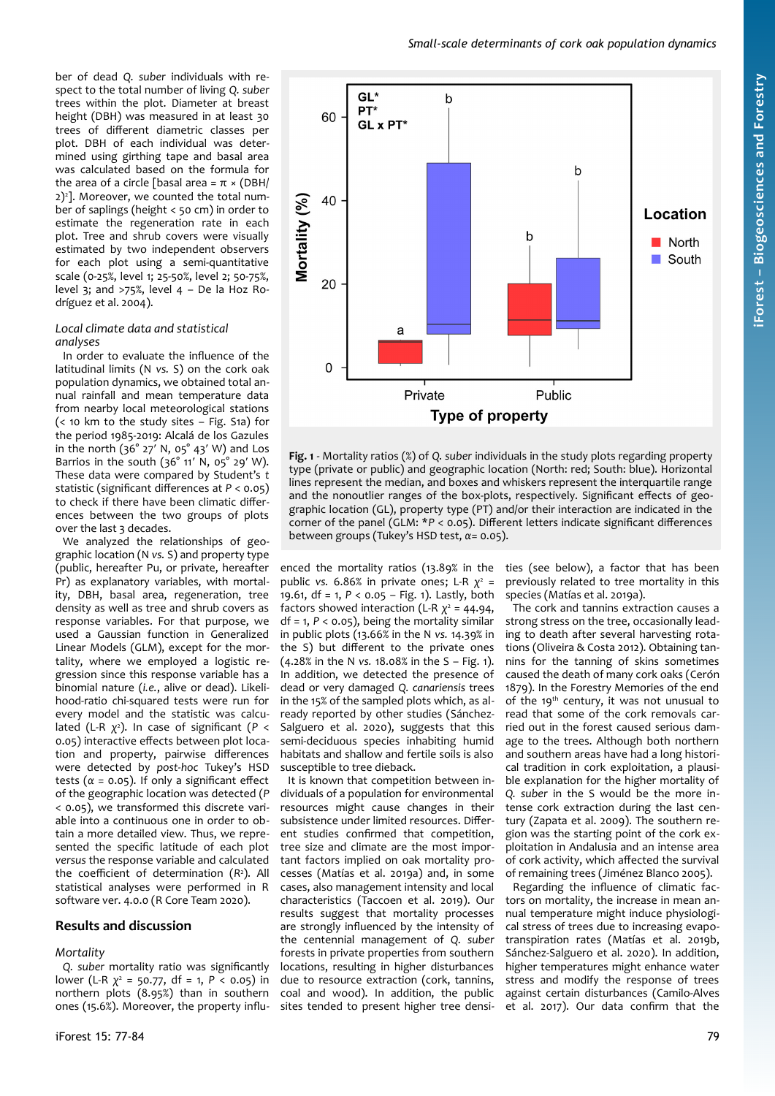ber of dead *Q. suber* individuals with respect to the total number of living *Q. suber* trees within the plot. Diameter at breast height (DBH) was measured in at least 30 trees of different diametric classes per plot. DBH of each individual was determined using girthing tape and basal area was calculated based on the formula for the area of a circle [basal area =  $π \times (DBH)$ ] 2)<sup>2</sup> ]. Moreover, we counted the total number of saplings (height < 50 cm) in order to estimate the regeneration rate in each plot. Tree and shrub covers were visually estimated by two independent observers for each plot using a semi-quantitative scale (0-25%, level 1; 25-50%, level 2; 50-75%, level 3; and  $>75%$ , level 4 – De la Hoz Rodríguez et al. 2004).

### *Local climate data and statistical analyses*

In order to evaluate the influence of the latitudinal limits (N *vs.* S) on the cork oak population dynamics, we obtained total annual rainfall and mean temperature data from nearby local meteorological stations (< 10 km to the study sites – Fig. S1a) for the period 1985-2019: Alcalá de los Gazules in the north (36° 27′ N, 05° 43′ W) and Los Barrios in the south (36° 11' N, 05° 29' W). These data were compared by Student's *t* statistic (significant differences at *P* < 0.05) to check if there have been climatic differences between the two groups of plots over the last 3 decades.

We analyzed the relationships of geographic location (N *vs.* S) and property type (public, hereafter Pu, or private, hereafter Pr) as explanatory variables, with mortality, DBH, basal area, regeneration, tree density as well as tree and shrub covers as response variables. For that purpose, we used a Gaussian function in Generalized Linear Models (GLM), except for the mortality, where we employed a logistic regression since this response variable has a binomial nature (*i.e.*, alive or dead). Likelihood-ratio chi-squared tests were run for every model and the statistic was calculated (L-R *χ* 2 ). In case of significant (*P* < 0.05) interactive effects between plot location and property, pairwise differences were detected by *post-hoc* Tukey's HSD tests ( $\alpha$  = 0.05). If only a significant effect of the geographic location was detected (*P* < 0.05), we transformed this discrete variable into a continuous one in order to obtain a more detailed view. Thus, we represented the specific latitude of each plot *versus* the response variable and calculated the coefficient of determination (*R* 2 ). All statistical analyses were performed in R software ver. 4.0.0 (R Core Team 2020).

## **Results and discussion**

## *Mortality*

*Q. suber* mortality ratio was significantly lower (L-R *χ* 2 = 50.77, df = 1, *P* < 0.05) in northern plots (8.95%) than in southern ones (15.6%). Moreover, the property influ-



<span id="page-2-0"></span>**Fig. 1** - Mortality ratios (%) of *Q. suber* individuals in the study plots regarding property type (private or public) and geographic location (North: red; South: blue). Horizontal lines represent the median, and boxes and whiskers represent the interquartile range and the nonoutlier ranges of the box-plots, respectively. Significant effects of geographic location (GL), property type (PT) and/or their interaction are indicated in the corner of the panel (GLM: \**P* < 0.05). Different letters indicate significant differences between groups (Tukey's HSD test, *α*= 0.05).

enced the mortality ratios (13.89% in the public *vs.* 6.86% in private ones; L-R *χ* 2 = 19.61, df = 1, *P* < 0.05 – [Fig. 1](#page-2-0)). Lastly, both factors showed interaction (L-R  $\chi^2$  = 44.94,  $df = 1, P < 0.05$ , being the mortality similar in public plots (13.66% in the N *vs.* 14.39% in the S) but different to the private ones (4.28% in the N *vs.* 18.08% in the S – [Fig. 1](#page-2-0)). In addition, we detected the presence of dead or very damaged *Q. canariensis* trees in the 15% of the sampled plots which, as already reported by other studies (Sánchez-Salguero et al. 2020), suggests that this semi-deciduous species inhabiting humid habitats and shallow and fertile soils is also susceptible to tree dieback.

It is known that competition between individuals of a population for environmental resources might cause changes in their subsistence under limited resources. Different studies confirmed that competition, tree size and climate are the most important factors implied on oak mortality processes (Matías et al. 2019a) and, in some cases, also management intensity and local characteristics (Taccoen et al. 2019). Our results suggest that mortality processes are strongly influenced by the intensity of the centennial management of *Q. suber* forests in private properties from southern locations, resulting in higher disturbances due to resource extraction (cork, tannins, coal and wood). In addition, the public sites tended to present higher tree densities (see below), a factor that has been previously related to tree mortality in this species (Matías et al. 2019a).

The cork and tannins extraction causes a strong stress on the tree, occasionally leading to death after several harvesting rotations (Oliveira & Costa 2012). Obtaining tannins for the tanning of skins sometimes caused the death of many cork oaks (Cerón 1879). In the Forestry Memories of the end of the 19<sup>th</sup> century, it was not unusual to read that some of the cork removals carried out in the forest caused serious damage to the trees. Although both northern and southern areas have had a long historical tradition in cork exploitation, a plausible explanation for the higher mortality of *Q. suber* in the S would be the more intense cork extraction during the last century (Zapata et al. 2009). The southern region was the starting point of the cork exploitation in Andalusia and an intense area of cork activity, which affected the survival of remaining trees (Jiménez Blanco 2005).

Regarding the influence of climatic factors on mortality, the increase in mean annual temperature might induce physiological stress of trees due to increasing evapotranspiration rates (Matías et al. 2019b, Sánchez-Salguero et al. 2020). In addition, higher temperatures might enhance water stress and modify the response of trees against certain disturbances (Camilo-Alves et al. 2017). Our data confirm that the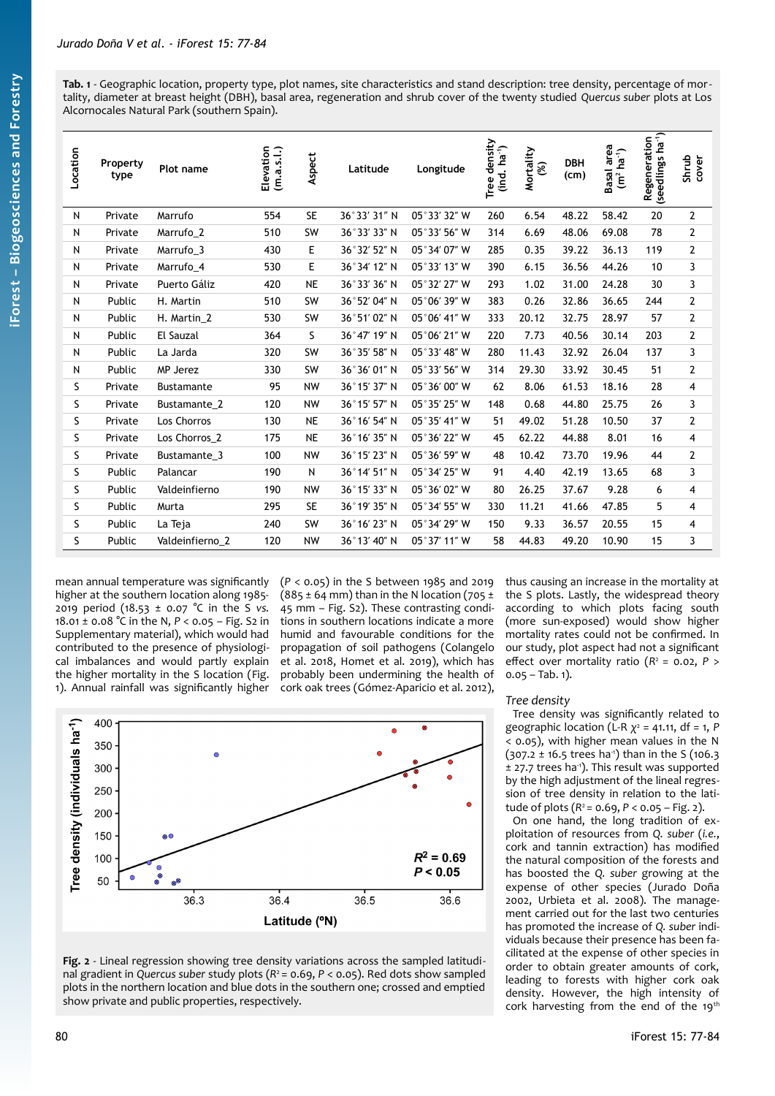<span id="page-3-1"></span>**Tab. 1** - Geographic location, property type, plot names, site characteristics and stand description: tree density, percentage of mortality, diameter at breast height (DBH), basal area, regeneration and shrub cover of the twenty studied *Quercus suber* plots at Los Alcornocales Natural Park (southern Spain).

| Location | Property<br>type | Plot name         | Elevation<br>(m.a.s.l.) | Aspect    | Latitude     | Longitude    | density<br>$(ind. ha-1)$<br>Tree | Mortality<br>3 | <b>DBH</b><br>(cm) | Basal area<br>$(m2 ha-1)$ | Regeneration<br>(seedlings ha <sup>-1</sup> ) | Shrub<br>cover |
|----------|------------------|-------------------|-------------------------|-----------|--------------|--------------|----------------------------------|----------------|--------------------|---------------------------|-----------------------------------------------|----------------|
| N        | Private          | Marrufo           | 554                     | <b>SE</b> | 36°33' 31" N | 05°33' 32" W | 260                              | 6.54           | 48.22              | 58.42                     | 20                                            | $\mathbf{2}$   |
| N        | Private          | Marrufo_2         | 510                     | SW        | 36°33' 33" N | 05°33' 56" W | 314                              | 6.69           | 48.06              | 69.08                     | 78                                            | $\mathbf{2}$   |
| N        | Private          | Marrufo_3         | 430                     | E         | 36°32′52″ N  | 05°34′07″W   | 285                              | 0.35           | 39.22              | 36.13                     | 119                                           | $\mathbf 2$    |
| N        | Private          | Marrufo_4         | 530                     | E         | 36°34' 12" N | 05°33' 13" W | 390                              | 6.15           | 36.56              | 44.26                     | 10                                            | 3              |
| N        | Private          | Puerto Gáliz      | 420                     | <b>NE</b> | 36°33' 36" N | 05°32' 27" W | 293                              | 1.02           | 31.00              | 24.28                     | 30                                            | 3              |
| N        | Public           | H. Martin         | 510                     | SW        | 36°52′04″ N  | 05°06' 39" W | 383                              | 0.26           | 32.86              | 36.65                     | 244                                           | $\mathbf{2}$   |
| N        | Public           | H. Martin 2       | 530                     | SW        | 36°51'02" N  | 05°06' 41" W | 333                              | 20.12          | 32.75              | 28.97                     | 57                                            | $\mathbf{2}$   |
| N        | Public           | El Sauzal         | 364                     | S         | 36°47' 19" N | 05°06' 21" W | 220                              | 7.73           | 40.56              | 30.14                     | 203                                           | $\overline{2}$ |
| N        | Public           | La Jarda          | 320                     | SW        | 36°35' 58" N | 05°33′48″ W  | 280                              | 11.43          | 32.92              | 26.04                     | 137                                           | 3              |
| N        | Public           | MP Jerez          | 330                     | SW        | 36°36'01" N  | 05°33' 56" W | 314                              | 29.30          | 33.92              | 30.45                     | 51                                            | $\overline{2}$ |
| S        | Private          | <b>Bustamante</b> | 95                      | <b>NW</b> | 36°15' 37" N | 05°36'00" W  | 62                               | 8.06           | 61.53              | 18.16                     | 28                                            | 4              |
| S        | Private          | Bustamante 2      | 120                     | <b>NW</b> | 36°15' 57" N | 05°35' 25" W | 148                              | 0.68           | 44.80              | 25.75                     | 26                                            | 3              |
| S        | Private          | Los Chorros       | 130                     | <b>NE</b> | 36°16' 54" N | 05°35' 41" W | 51                               | 49.02          | 51.28              | 10.50                     | 37                                            | $\mathbf{2}$   |
| S        | Private          | Los Chorros 2     | 175                     | <b>NE</b> | 36°16' 35" N | 05°36' 22" W | 45                               | 62.22          | 44.88              | 8.01                      | 16                                            | 4              |
| S        | Private          | Bustamante 3      | 100                     | <b>NW</b> | 36°15' 23" N | 05°36' 59" W | 48                               | 10.42          | 73.70              | 19.96                     | 44                                            | $\mathbf{2}$   |
| S        | Public           | Palancar          | 190                     | N         | 36°14' 51" N | 05°34' 25" W | 91                               | 4.40           | 42.19              | 13.65                     | 68                                            | 3              |
| S        | Public           | Valdeinfierno     | 190                     | <b>NW</b> | 36°15' 33" N | 05°36'02" W  | 80                               | 26.25          | 37.67              | 9.28                      | 6                                             | 4              |
| S        | Public           | Murta             | 295                     | <b>SE</b> | 36°19' 35" N | 05°34′55″ W  | 330                              | 11.21          | 41.66              | 47.85                     | 5                                             | 4              |
| S        | Public           | La Teja           | 240                     | SW        | 36°16' 23" N | 05°34' 29" W | 150                              | 9.33           | 36.57              | 20.55                     | 15                                            | 4              |
| S        | Public           | Valdeinfierno 2   | 120                     | <b>NW</b> | 36°13' 40" N | 05°37' 11" W | 58                               | 44.83          | 49.20              | 10.90                     | 15                                            | 3              |

mean annual temperature was significantly higher at the southern location along 1985- 2019 period (18.53 ± 0.07 °C in the S *vs.* 18.01 ± 0.08 °C in the N, *P* < 0.05 – Fig. S2 in Supplementary material), which would had contributed to the presence of physiological imbalances and would partly explain the higher mortality in the S location [\(Fig.](#page-2-0) [1\)](#page-2-0). Annual rainfall was significantly higher

(*P* < 0.05) in the S between 1985 and 2019  $(885 \pm 64 \text{ mm})$  than in the N location (705 ± 45 mm – Fig. S2). These contrasting conditions in southern locations indicate a more humid and favourable conditions for the propagation of soil pathogens (Colangelo et al. 2018, Homet et al. 2019), which has probably been undermining the health of cork oak trees (Gómez-Aparicio et al. 2012),



<span id="page-3-0"></span>**Fig. 2** - Lineal regression showing tree density variations across the sampled latitudinal gradient in *Quercus suber* study plots (*R* <sup>2</sup>= 0.69, *P* < 0.05). Red dots show sampled plots in the northern location and blue dots in the southern one; crossed and emptied show private and public properties, respectively.

thus causing an increase in the mortality at the S plots. Lastly, the widespread theory according to which plots facing south (more sun-exposed) would show higher mortality rates could not be confirmed. In our study, plot aspect had not a significant effect over mortality ratio  $(R^2 = 0.02, P >$  $0.05 - Tab. 1$  $0.05 - Tab. 1$ ).

## *Tree density*

Tree density was significantly related to geographic location (L-R *χ* 2 = 41.11, df = 1, *P* < 0.05), with higher mean values in the N  $(307.2 \pm 16.5 \text{ trees ha}^{-1})$  than in the S (106.3)  $±$  27.7 trees ha<sup>-1</sup>). This result was supported by the high adjustment of the lineal regression of tree density in relation to the latitude of plots  $(R^2 = 0.69, P < 0.05 - Fig. 2)$  $(R^2 = 0.69, P < 0.05 - Fig. 2)$  $(R^2 = 0.69, P < 0.05 - Fig. 2)$ .

On one hand, the long tradition of exploitation of resources from *Q. suber* (*i.e.*, cork and tannin extraction) has modified the natural composition of the forests and has boosted the *Q. suber* growing at the expense of other species (Jurado Doña 2002, Urbieta et al. 2008). The management carried out for the last two centuries has promoted the increase of *Q. suber* individuals because their presence has been facilitated at the expense of other species in order to obtain greater amounts of cork, leading to forests with higher cork oak density. However, the high intensity of cork harvesting from the end of the 19th

**iForest –**

**Bio geoscie**

**nces a nd Forestry**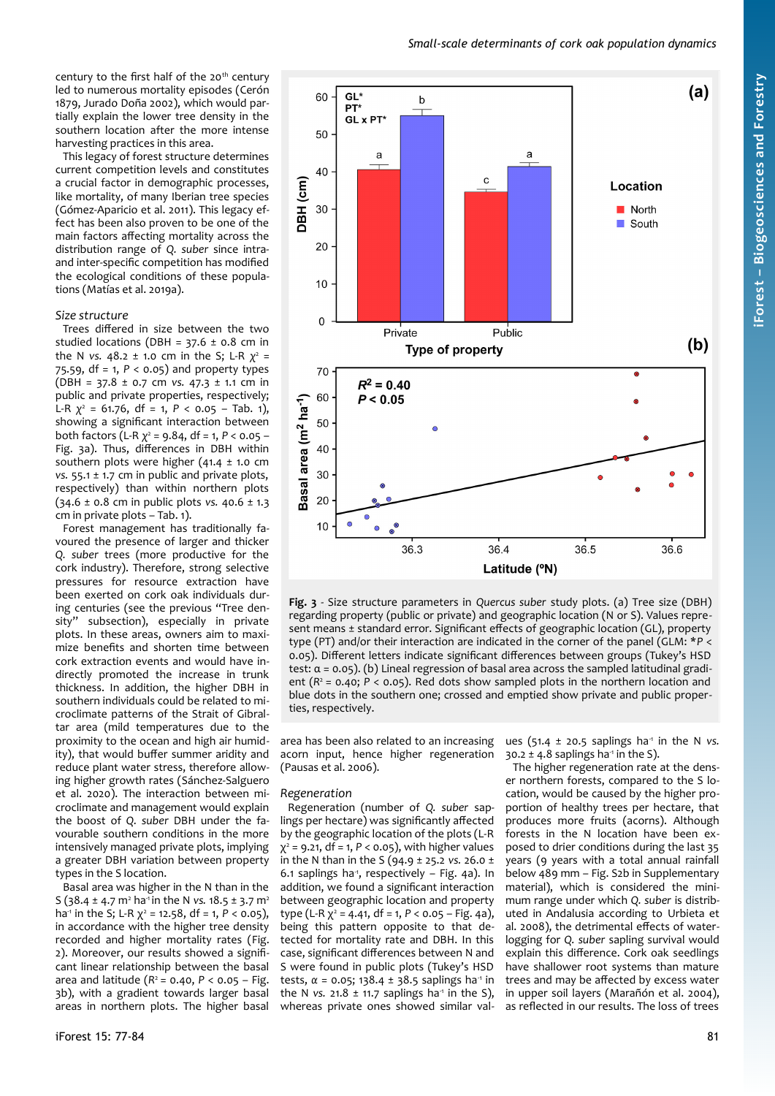century to the first half of the 20<sup>th</sup> century led to numerous mortality episodes (Cerón 1879, Jurado Doña 2002), which would partially explain the lower tree density in the southern location after the more intense harvesting practices in this area.

This legacy of forest structure determines current competition levels and constitutes a crucial factor in demographic processes, like mortality, of many Iberian tree species (Gómez-Aparicio et al. 2011). This legacy effect has been also proven to be one of the main factors affecting mortality across the distribution range of *Q. suber* since intraand inter-specific competition has modified the ecological conditions of these populations (Matías et al. 2019a).

## *Size structure*

Trees differed in size between the two studied locations (DBH =  $37.6 \pm 0.8$  cm in the N *vs*. 48.2 ± 1.0 cm in the S; L-R  $\chi^2$  = 75.59, df = 1, *P* < 0.05) and property types (DBH = 37.8 ± 0.7 cm *vs.* 47.3 ± 1.1 cm in public and private properties, respectively; L-R *χ* 2 = 61.76, df = 1, *P* < 0.05 – [Tab. 1](#page-3-1)), showing a significant interaction between both factors (L-R *χ* 2 = 9.84, df = 1, *P* < 0.05 – [Fig. 3a](#page-4-0)). Thus, differences in DBH within southern plots were higher (41.4 ± 1.0 cm *vs.* 55.1 ± 1.7 cm in public and private plots, respectively) than within northern plots (34.6 ± 0.8 cm in public plots *vs.* 40.6 ± 1.3 cm in private plots – [Tab. 1](#page-3-1)).

Forest management has traditionally favoured the presence of larger and thicker *Q. suber* trees (more productive for the cork industry). Therefore, strong selective pressures for resource extraction have been exerted on cork oak individuals during centuries (see the previous "Tree density" subsection), especially in private plots. In these areas, owners aim to maximize benefits and shorten time between cork extraction events and would have indirectly promoted the increase in trunk thickness. In addition, the higher DBH in southern individuals could be related to microclimate patterns of the Strait of Gibraltar area (mild temperatures due to the proximity to the ocean and high air humidity), that would buffer summer aridity and reduce plant water stress, therefore allowing higher growth rates (Sánchez-Salguero et al. 2020). The interaction between microclimate and management would explain the boost of *Q. suber* DBH under the favourable southern conditions in the more intensively managed private plots, implying a greater DBH variation between property types in the S location.

Basal area was higher in the N than in the S (38.4 ± 4.7 m<sup>2</sup> ha<sup>-1</sup> in the N vs. 18.5 ± 3.7 m<sup>2</sup> ha<sup>-1</sup> in the S; L-R  $\chi^2$  = 12.58, df = 1, P < 0.05), in accordance with the higher tree density recorded and higher mortality rates [\(Fig.](#page-3-0) [2\)](#page-3-0). Moreover, our results showed a significant linear relationship between the basal area and latitude (*R* <sup>2</sup>= 0.40, *P* < 0.05 – [Fig.](#page-4-0) [3](#page-4-0)b), with a gradient towards larger basal areas in northern plots. The higher basal



<span id="page-4-0"></span>**Fig. 3** - Size structure parameters in *Quercus suber* study plots. (a) Tree size (DBH) regarding property (public or private) and geographic location (N or S). Values represent means ± standard error. Significant effects of geographic location (GL), property type (PT) and/or their interaction are indicated in the corner of the panel (GLM: \**P* < 0.05). Different letters indicate significant differences between groups (Tukey's HSD test: α = 0.05). (b) Lineal regression of basal area across the sampled latitudinal gradient  $(R^2 = 0.40; P < 0.05)$ . Red dots show sampled plots in the northern location and blue dots in the southern one; crossed and emptied show private and public properties, respectively.

area has been also related to an increasing acorn input, hence higher regeneration (Pausas et al. 2006).

## *Regeneration*

Regeneration (number of *Q. suber* saplings per hectare) was significantly affected by the geographic location of the plots (L-R χ 2 = 9.21, df = 1, *P* < 0.05), with higher values in the N than in the S (94.9 ± 25.2 *vs.* 26.0 ± 6.1 saplings ha<sup>1</sup>, respectively - [Fig. 4](#page-5-0)a). In addition, we found a significant interaction between geographic location and property type (L-R χ<sup>2</sup> = 4.41, df = 1, P < 0.05 – [Fig. 4](#page-5-0)a), being this pattern opposite to that detected for mortality rate and DBH. In this case, significant differences between N and S were found in public plots (Tukey's HSD tests,  $α = 0.05$ ; 138.4 ± 38.5 saplings ha<sup>-1</sup> in the N *vs.* 21.8  $\pm$  11.7 saplings ha<sup>-1</sup> in the S), whereas private ones showed similar values (51.4  $\pm$  20.5 saplings ha<sup>-1</sup> in the N *vs.*  $30.2 \pm 4.8$  saplings ha<sup>-1</sup> in the S).

The higher regeneration rate at the denser northern forests, compared to the S location, would be caused by the higher proportion of healthy trees per hectare, that produces more fruits (acorns). Although forests in the N location have been exposed to drier conditions during the last 35 years (9 years with a total annual rainfall below 489 mm – Fig. S2b in Supplementary material), which is considered the minimum range under which *Q. suber* is distributed in Andalusia according to Urbieta et al. 2008), the detrimental effects of waterlogging for *Q. suber* sapling survival would explain this difference. Cork oak seedlings have shallower root systems than mature trees and may be affected by excess water in upper soil layers (Marañón et al. 2004), as reflected in our results. The loss of trees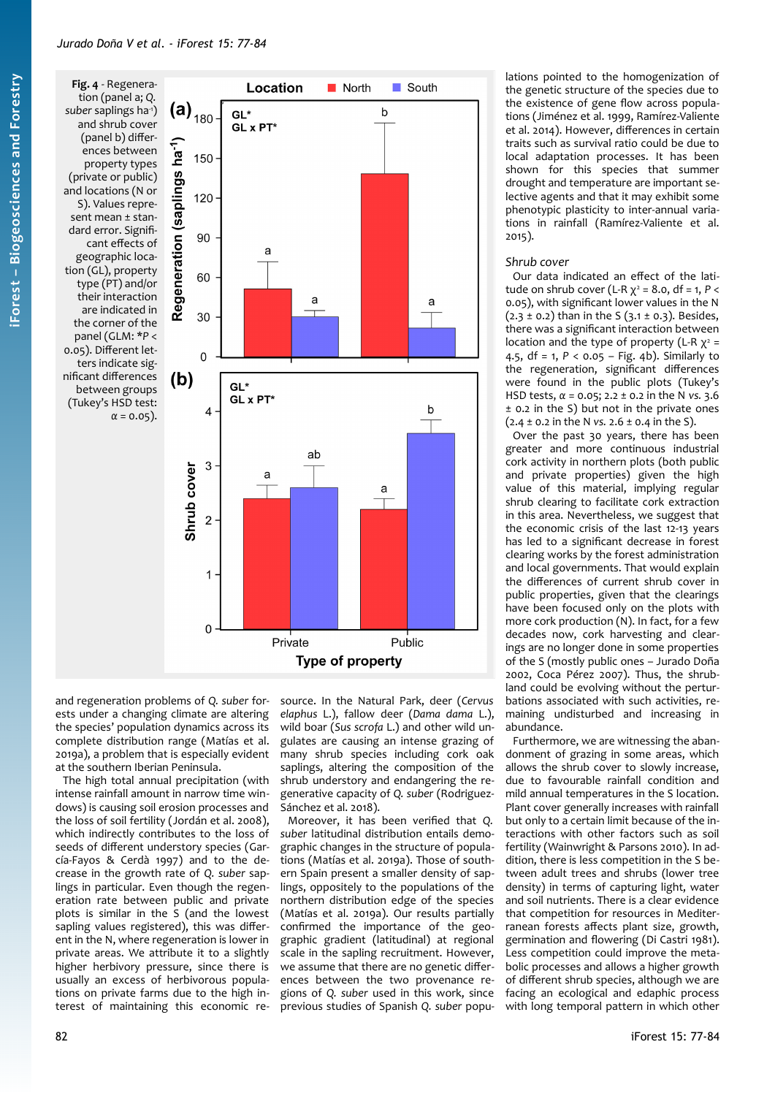<span id="page-5-0"></span>**Fig. 4** - Regeneration (panel a; *Q.* suber saplings ha<sup>-1</sup>) and shrub cover (panel b) differences between property types (private or public) and locations (N or S). Values represent mean ± standard error. Significant effects of geographic location (GL), property type (PT) and/or their interaction are indicated in the corner of the panel (GLM: \**P* < 0.05). Different letters indicate significant differences between groups (Tukey's HSD test:



and regeneration problems of *Q. suber* forests under a changing climate are altering the species' population dynamics across its complete distribution range (Matías et al. 2019a), a problem that is especially evident at the southern Iberian Peninsula.

The high total annual precipitation (with intense rainfall amount in narrow time windows) is causing soil erosion processes and the loss of soil fertility (Jordán et al. 2008), which indirectly contributes to the loss of seeds of different understory species (García-Fayos & Cerdà 1997) and to the decrease in the growth rate of *Q. suber* saplings in particular. Even though the regeneration rate between public and private plots is similar in the S (and the lowest sapling values registered), this was different in the N, where regeneration is lower in private areas. We attribute it to a slightly higher herbivory pressure, since there is usually an excess of herbivorous populations on private farms due to the high interest of maintaining this economic re-

source. In the Natural Park, deer (*Cervus elaphus* L.), fallow deer (*Dama dama* L.), wild boar (*Sus scrofa* L.) and other wild ungulates are causing an intense grazing of many shrub species including cork oak saplings, altering the composition of the shrub understory and endangering the regenerative capacity of *Q. suber* (Rodriguez-Sánchez et al. 2018).

Moreover, it has been verified that *Q. suber* latitudinal distribution entails demographic changes in the structure of populations (Matías et al. 2019a). Those of southern Spain present a smaller density of saplings, oppositely to the populations of the northern distribution edge of the species (Matías et al. 2019a). Our results partially confirmed the importance of the geographic gradient (latitudinal) at regional scale in the sapling recruitment. However, we assume that there are no genetic differences between the two provenance regions of *Q. suber* used in this work, since previous studies of Spanish *Q. suber* populations pointed to the homogenization of the genetic structure of the species due to the existence of gene flow across populations (Jiménez et al. 1999, Ramírez-Valiente et al. 2014). However, differences in certain traits such as survival ratio could be due to local adaptation processes. It has been shown for this species that summer drought and temperature are important selective agents and that it may exhibit some phenotypic plasticity to inter-annual variations in rainfall (Ramírez-Valiente et al. 2015).

#### *Shrub cover*

Our data indicated an effect of the latitude on shrub cover (L-R  $χ² = 8.0$ , df = 1, P < 0.05), with significant lower values in the N  $(2.3 \pm 0.2)$  than in the S  $(3.1 \pm 0.3)$ . Besides, there was a significant interaction between location and the type of property (L-R  $\chi^2$  = 4.5, df = 1, *P* < 0.05 – [Fig. 4](#page-5-0)b). Similarly to the regeneration, significant differences were found in the public plots (Tukey's HSD tests, *α* = 0.05; 2.2 ± 0.2 in the N *vs.* 3.6 ± 0.2 in the S) but not in the private ones (2.4 ± 0.2 in the N *vs.* 2.6 ± 0.4 in the S).

Over the past 30 years, there has been greater and more continuous industrial cork activity in northern plots (both public and private properties) given the high value of this material, implying regular shrub clearing to facilitate cork extraction in this area. Nevertheless, we suggest that the economic crisis of the last 12-13 years has led to a significant decrease in forest clearing works by the forest administration and local governments. That would explain the differences of current shrub cover in public properties, given that the clearings have been focused only on the plots with more cork production (N). In fact, for a few decades now, cork harvesting and clearings are no longer done in some properties of the S (mostly public ones – Jurado Doña 2002, Coca Pérez 2007). Thus, the shrubland could be evolving without the perturbations associated with such activities, remaining undisturbed and increasing in abundance.

Furthermore, we are witnessing the abandonment of grazing in some areas, which allows the shrub cover to slowly increase, due to favourable rainfall condition and mild annual temperatures in the S location. Plant cover generally increases with rainfall but only to a certain limit because of the interactions with other factors such as soil fertility (Wainwright & Parsons 2010). In addition, there is less competition in the S between adult trees and shrubs (lower tree density) in terms of capturing light, water and soil nutrients. There is a clear evidence that competition for resources in Mediterranean forests affects plant size, growth, germination and flowering (Di Castri 1981). Less competition could improve the metabolic processes and allows a higher growth of different shrub species, although we are facing an ecological and edaphic process with long temporal pattern in which other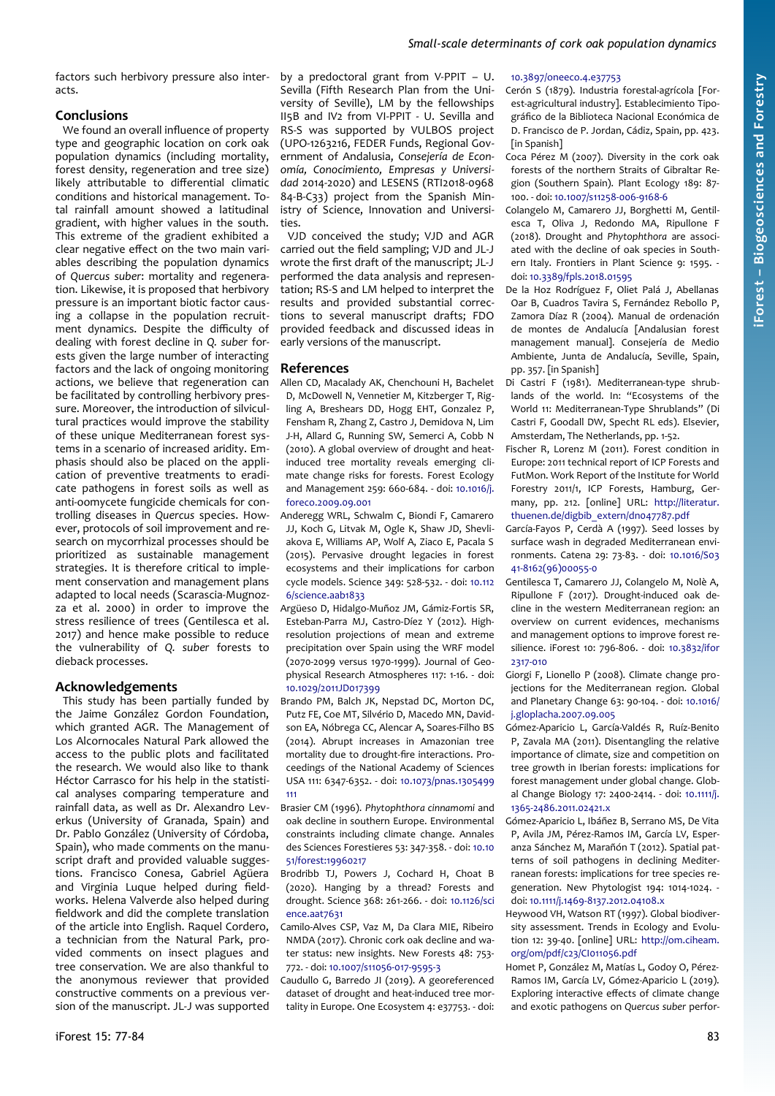# *Small-scale determinants of cork oak population dynamics*

factors such herbivory pressure also interacts.

# **Conclusions**

We found an overall influence of property type and geographic location on cork oak population dynamics (including mortality, forest density, regeneration and tree size) likely attributable to differential climatic conditions and historical management. Total rainfall amount showed a latitudinal gradient, with higher values in the south. This extreme of the gradient exhibited a clear negative effect on the two main variables describing the population dynamics of *Quercus suber*: mortality and regeneration. Likewise, it is proposed that herbivory pressure is an important biotic factor causing a collapse in the population recruitment dynamics. Despite the difficulty of dealing with forest decline in *Q. suber* forests given the large number of interacting factors and the lack of ongoing monitoring actions, we believe that regeneration can be facilitated by controlling herbivory pressure. Moreover, the introduction of silvicultural practices would improve the stability of these unique Mediterranean forest systems in a scenario of increased aridity. Emphasis should also be placed on the application of preventive treatments to eradicate pathogens in forest soils as well as anti-oomycete fungicide chemicals for controlling diseases in *Quercus* species. However, protocols of soil improvement and research on mycorrhizal processes should be prioritized as sustainable management strategies. It is therefore critical to implement conservation and management plans adapted to local needs (Scarascia-Mugnozza et al. 2000) in order to improve the stress resilience of trees (Gentilesca et al. 2017) and hence make possible to reduce the vulnerability of *Q. suber* forests to dieback processes.

# **Acknowledgements**

This study has been partially funded by the Jaime González Gordon Foundation, which granted AGR. The Management of Los Alcornocales Natural Park allowed the access to the public plots and facilitated the research. We would also like to thank Héctor Carrasco for his help in the statistical analyses comparing temperature and rainfall data, as well as Dr. Alexandro Leverkus (University of Granada, Spain) and Dr. Pablo González (University of Córdoba, Spain), who made comments on the manuscript draft and provided valuable suggestions. Francisco Conesa, Gabriel Agüera and Virginia Luque helped during fieldworks. Helena Valverde also helped during fieldwork and did the complete translation of the article into English. Raquel Cordero, a technician from the Natural Park, provided comments on insect plagues and tree conservation. We are also thankful to the anonymous reviewer that provided constructive comments on a previous version of the manuscript. JL-J was supported

by a predoctoral grant from V-PPIT – U. Sevilla (Fifth Research Plan from the University of Seville), LM by the fellowships II5B and IV2 from VI-PPIT - U. Sevilla and RS-S was supported by VULBOS project (UPO-1263216, FEDER Funds, Regional Government of Andalusia, *Consejería de Economía, Conocimiento, Empresas y Universidad* 2014-2020) and LESENS (RTI2018-0968 84-B-C33) project from the Spanish Ministry of Science, Innovation and Universities.

VJD conceived the study; VJD and AGR carried out the field sampling; VJD and JL-J wrote the first draft of the manuscript; JL-J performed the data analysis and representation; RS-S and LM helped to interpret the results and provided substantial corrections to several manuscript drafts; FDO provided feedback and discussed ideas in early versions of the manuscript.

# **References**

- Allen CD, Macalady AK, Chenchouni H, Bachelet D, McDowell N, Vennetier M, Kitzberger T, Rigling A, Breshears DD, Hogg EHT, Gonzalez P, Fensham R, Zhang Z, Castro J, Demidova N, Lim J-H, Allard G, Running SW, Semerci A, Cobb N (2010). A global overview of drought and heatinduced tree mortality reveals emerging climate change risks for forests. Forest Ecology and Management 259: 660-684. - doi: [10.1016/j.](https://doi.org/10.1016/j.foreco.2009.09.001) [foreco.2009.09.001](https://doi.org/10.1016/j.foreco.2009.09.001)
- Anderegg WRL, Schwalm C, Biondi F, Camarero JJ, Koch G, Litvak M, Ogle K, Shaw JD, Shevliakova E, Williams AP, Wolf A, Ziaco E, Pacala S (2015). Pervasive drought legacies in forest ecosystems and their implications for carbon cycle models. Science 349: 528-532. - doi: [10.112](https://doi.org/10.1126/science.aab1833) [6/science.aab1833](https://doi.org/10.1126/science.aab1833)
- Argüeso D, Hidalgo-Muñoz JM, Gámiz-Fortis SR, Esteban-Parra MJ, Castro-Díez Y (2012). Highresolution projections of mean and extreme precipitation over Spain using the WRF model (2070-2099 versus 1970-1999). Journal of Geophysical Research Atmospheres 117: 1-16. - doi: [10.1029/2011JD017399](https://doi.org/10.1029/2011JD017399)
- Brando PM, Balch JK, Nepstad DC, Morton DC, Putz FE, Coe MT, Silvério D, Macedo MN, Davidson EA, Nóbrega CC, Alencar A, Soares-Filho BS (2014). Abrupt increases in Amazonian tree mortality due to drought-fire interactions. Proceedings of the National Academy of Sciences USA 111: 6347-6352. - doi: [10.1073/pnas.1305499](https://doi.org/10.1073/pnas.1305499111) [111](https://doi.org/10.1073/pnas.1305499111)
- Brasier CM (1996). *Phytophthora cinnamomi* and oak decline in southern Europe. Environmental constraints including climate change. Annales des Sciences Forestieres 53: 347-358. - doi: [10.10](https://doi.org/10.1051/forest:19960217) [51/forest:19960217](https://doi.org/10.1051/forest:19960217)
- Brodribb TJ, Powers J, Cochard H, Choat B (2020). Hanging by a thread? Forests and drought. Science 368: 261-266. - doi: [10.1126/sci](https://doi.org/10.1126/science.aat7631) [ence.aat7631](https://doi.org/10.1126/science.aat7631)
- Camilo-Alves CSP, Vaz M, Da Clara MIE, Ribeiro NMDA (2017). Chronic cork oak decline and water status: new insights. New Forests 48: 753- 772. - doi: [10.1007/s11056-017-9595-3](https://doi.org/10.1007/s11056-017-9595-3)

Caudullo G, Barredo JI (2019). A georeferenced dataset of drought and heat-induced tree mortality in Europe. One Ecosystem 4: e37753. - doi:

## [10.3897/oneeco.4.e37753](https://doi.org/10.3897/oneeco.4.e37753)

- Cerón S (1879). Industria forestal-agrícola [Forest-agricultural industry]. Establecimiento Tipográfico de la Biblioteca Nacional Económica de D. Francisco de P. Jordan, Cádiz, Spain, pp. 423. [in Spanish]
- Coca Pérez M (2007). Diversity in the cork oak forests of the northern Straits of Gibraltar Region (Southern Spain). Plant Ecology 189: 87- 100. - doi: [10.1007/s11258-006-9168-6](https://doi.org/10.1007/s11258-006-9168-6)
- Colangelo M, Camarero JJ, Borghetti M, Gentilesca T, Oliva J, Redondo MA, Ripullone F (2018). Drought and *Phytophthora* are associated with the decline of oak species in Southern Italy. Frontiers in Plant Science 9: 1595. doi: [10.3389/fpls.2018.01595](https://doi.org/10.3389/fpls.2018.01595)
- De la Hoz Rodríguez F, Oliet Palá J, Abellanas Oar B, Cuadros Tavira S, Fernández Rebollo P, Zamora Díaz R (2004). Manual de ordenación de montes de Andalucía [Andalusian forest management manual]. Consejería de Medio Ambiente, Junta de Andalucía, Seville, Spain, pp. 357. [in Spanish]
- Di Castri F (1981). Mediterranean-type shrublands of the world. In: "Ecosystems of the World 11: Mediterranean-Type Shrublands" (Di Castri F, Goodall DW, Specht RL eds). Elsevier, Amsterdam, The Netherlands, pp. 1-52.
- Fischer R, Lorenz M (2011). Forest condition in Europe: 2011 technical report of ICP Forests and FutMon. Work Report of the Institute for World Forestry 2011/1, ICP Forests, Hamburg, Germany, pp. 212. [online] URL: [http://literatur.](http://literatur.thuenen.de/digbib_extern/dn047787.pdf) [thuenen.de/digbib\\_extern/dn047787.pdf](http://literatur.thuenen.de/digbib_extern/dn047787.pdf)
- García-Fayos P, Cerdà A (1997). Seed losses by surface wash in degraded Mediterranean environments. Catena 29: 73-83. - doi: [10.1016/S03](https://doi.org/10.1016/S0341-8162(96)00055-0) [41-8162\(96\)00055-0](https://doi.org/10.1016/S0341-8162(96)00055-0)
- Gentilesca T, Camarero JJ, Colangelo M, Nolè A, Ripullone F (2017). Drought-induced oak decline in the western Mediterranean region: an overview on current evidences, mechanisms and management options to improve forest resilience. iForest 10: 796-806. - doi: [10.3832/ifor](https://doi.org/10.3832/ifor2317-010) [2317-010](https://doi.org/10.3832/ifor2317-010)
- Giorgi F, Lionello P (2008). Climate change projections for the Mediterranean region. Global and Planetary Change 63: 90-104. - doi: [10.1016/](https://doi.org/10.1016/j.gloplacha.2007.09.005) [j.gloplacha.2007.09.005](https://doi.org/10.1016/j.gloplacha.2007.09.005)
- Gómez-Aparicio L, García-Valdés R, Ruíz-Benito P, Zavala MA (2011). Disentangling the relative importance of climate, size and competition on tree growth in Iberian forests: implications for forest management under global change. Global Change Biology 17: 2400-2414. - doi: [10.1111/j.](https://doi.org/10.1111/j.1365-2486.2011.02421.x) [1365-2486.2011.02421.x](https://doi.org/10.1111/j.1365-2486.2011.02421.x)
- Gómez-Aparicio L, Ibáñez B, Serrano MS, De Vita P, Avila JM, Pérez-Ramos IM, García LV, Esperanza Sánchez M, Marañón T (2012). Spatial patterns of soil pathogens in declining Mediterranean forests: implications for tree species regeneration. New Phytologist 194: 1014-1024. doi: [10.1111/j.1469-8137.2012.04108.x](https://doi.org/10.1111/j.1469-8137.2012.04108.x)
- Heywood VH, Watson RT (1997). Global biodiversity assessment. Trends in Ecology and Evolution 12: 39-40. [online] URL: [http://om.ciheam.](http://om.ciheam.org/om/pdf/c23/CI011056.pdf) [org/om/pdf/c23/CI011056.pdf](http://om.ciheam.org/om/pdf/c23/CI011056.pdf)
- Homet P, González M, Matías L, Godoy O, Pérez-Ramos IM, García LV, Gómez-Aparicio L (2019). Exploring interactive effects of climate change and exotic pathogens on *Quercus suber* perfor-